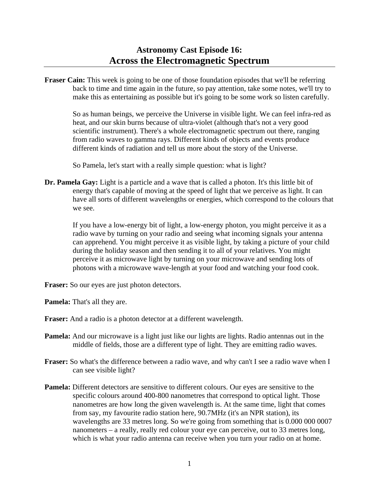## **Astronomy Cast Episode 16: Across the Electromagnetic Spectrum**

**Fraser Cain:** This week is going to be one of those foundation episodes that we'll be referring back to time and time again in the future, so pay attention, take some notes, we'll try to make this as entertaining as possible but it's going to be some work so listen carefully.

 So as human beings, we perceive the Universe in visible light. We can feel infra-red as heat, and our skin burns because of ultra-violet (although that's not a very good scientific instrument). There's a whole electromagnetic spectrum out there, ranging from radio waves to gamma rays. Different kinds of objects and events produce different kinds of radiation and tell us more about the story of the Universe.

So Pamela, let's start with a really simple question: what is light?

**Dr. Pamela Gay:** Light is a particle and a wave that is called a photon. It's this little bit of energy that's capable of moving at the speed of light that we perceive as light. It can have all sorts of different wavelengths or energies, which correspond to the colours that we see.

 If you have a low-energy bit of light, a low-energy photon, you might perceive it as a radio wave by turning on your radio and seeing what incoming signals your antenna can apprehend. You might perceive it as visible light, by taking a picture of your child during the holiday season and then sending it to all of your relatives. You might perceive it as microwave light by turning on your microwave and sending lots of photons with a microwave wave-length at your food and watching your food cook.

**Fraser:** So our eyes are just photon detectors.

**Pamela:** That's all they are.

- **Fraser:** And a radio is a photon detector at a different wavelength.
- **Pamela:** And our microwave is a light just like our lights are lights. Radio antennas out in the middle of fields, those are a different type of light. They are emitting radio waves.
- **Fraser:** So what's the difference between a radio wave, and why can't I see a radio wave when I can see visible light?
- **Pamela:** Different detectors are sensitive to different colours. Our eyes are sensitive to the specific colours around 400-800 nanometres that correspond to optical light. Those nanometres are how long the given wavelength is. At the same time, light that comes from say, my favourite radio station here, 90.7MHz (it's an NPR station), its wavelengths are 33 metres long. So we're going from something that is 0.000 000 0007 nanometers – a really, really red colour your eye can perceive, out to 33 metres long, which is what your radio antenna can receive when you turn your radio on at home.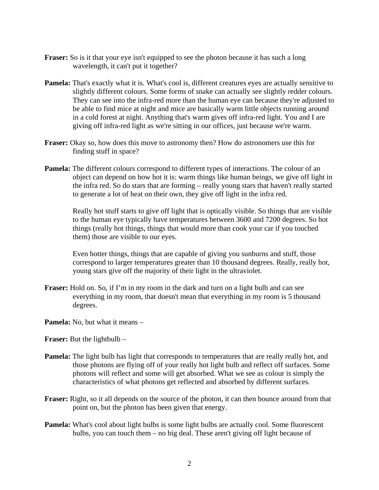- **Fraser:** So is it that your eye isn't equipped to see the photon because it has such a long wavelength, it can't put it together?
- **Pamela:** That's exactly what it is. What's cool is, different creatures eyes are actually sensitive to slightly different colours. Some forms of snake can actually see slightly redder colours. They can see into the infra-red more than the human eye can because they're adjusted to be able to find mice at night and mice are basically warm little objects running around in a cold forest at night. Anything that's warm gives off infra-red light. You and I are giving off infra-red light as we're sitting in our offices, just because we're warm.
- **Fraser:** Okay so, how does this move to astronomy then? How do astronomers use this for finding stuff in space?
- **Pamela:** The different colours correspond to different types of interactions. The colour of an object can depend on how hot it is: warm things like human beings, we give off light in the infra red. So do stars that are forming – really young stars that haven't really started to generate a lot of heat on their own, they give off light in the infra red.

 Really hot stuff starts to give off light that is optically visible. So things that are visible to the human eye typically have temperatures between 3600 and 7200 degrees. So hot things (really hot things, things that would more than cook your car if you touched them) those are visible to our eyes.

 Even hotter things, things that are capable of giving you sunburns and stuff, those correspond to larger temperatures greater than 10 thousand degrees. Really, really hot, young stars give off the majority of their light in the ultraviolet.

- **Fraser:** Hold on. So, if I'm in my room in the dark and turn on a light bulb and can see everything in my room, that doesn't mean that everything in my room is 5 thousand degrees.
- **Pamela:** No, but what it means –

**Fraser:** But the lightbulb –

- **Pamela:** The light bulb has light that corresponds to temperatures that are really really hot, and those photons are flying off of your really hot light bulb and reflect off surfaces. Some photons will reflect and some will get absorbed. What we see as colour is simply the characteristics of what photons get reflected and absorbed by different surfaces.
- **Fraser:** Right, so it all depends on the source of the photon, it can then bounce around from that point on, but the photon has been given that energy.
- **Pamela:** What's cool about light bulbs is some light bulbs are actually cool. Some fluorescent bulbs, you can touch them – no big deal. These aren't giving off light because of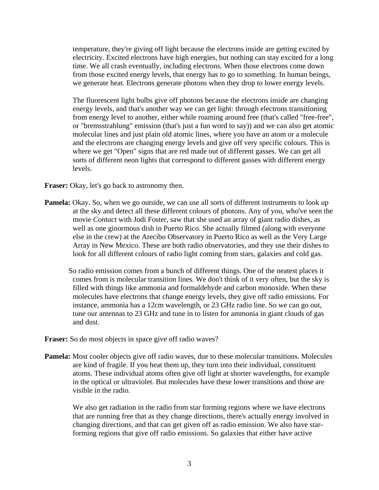temperature, they're giving off light because the electrons inside are getting excited by electricity. Excited electrons have high energies, but nothing can stay excited for a long time. We all crash eventually, including electrons. When those electrons come down from those excited energy levels, that energy has to go to something. In human beings, we generate heat. Electrons generate photons when they drop to lower energy levels.

 The fluorescent light bulbs give off photons because the electrons inside are changing energy levels, and that's another way we can get light: through electrons transitioning from energy level to another, either while roaming around free (that's called "free-free", or "bremsstrahlung" emission (that's just a fun word to say)) and we can also get atomic molecular lines and just plain old atomic lines, where you have an atom or a molecule and the electrons are changing energy levels and give off very specific colours. This is where we get "Open" signs that are red made out of different gasses. We can get all sorts of different neon lights that correspond to different gasses with different energy levels.

**Fraser:** Okay, let's go back to astronomy then.

- **Pamela:** Okay. So, when we go outside, we can use all sorts of different instruments to look up at the sky and detect all these different colours of photons. Any of you, who've seen the movie *Contact* with Jodi Foster, saw that she used an array of giant radio dishes, as well as one ginormous dish in Puerto Rico. She actually filmed (along with everyone else in the crew) at the Arecibo Observatory in Puerto Rico as well as the Very Large Array in New Mexico. These are both radio observatories, and they use their dishes to look for all different colours of radio light coming from stars, galaxies and cold gas.
	- So radio emission comes from a bunch of different things. One of the neatest places it comes from is molecular transition lines. We don't think of it very often, but the sky is filled with things like ammonia and formaldehyde and carbon monoxide. When these molecules have electrons that change energy levels, they give off radio emissions. For instance, ammonia has a 12cm wavelength, or 23 GHz radio line. So we can go out, tune our antennas to 23 GHz and tune in to listen for ammonia in giant clouds of gas and dust.
- **Fraser:** So do most objects in space give off radio waves?
- **Pamela:** Most cooler objects give off radio waves, due to these molecular transitions. Molecules are kind of fragile. If you heat them up, they turn into their individual, constituent atoms. These individual atoms often give off light at shorter wavelengths, for example in the optical or ultraviolet. But molecules have these lower transitions and those are visible in the radio.

 We also get radiation in the radio from star forming regions where we have electrons that are running free that as they change directions, there's actually energy involved in changing directions, and that can get given off as radio emission. We also have starforming regions that give off radio emissions. So galaxies that either have active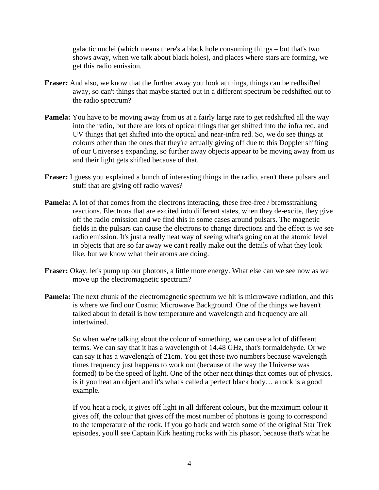galactic nuclei (which means there's a black hole consuming things – but that's two shows away, when we talk about black holes), and places where stars are forming, we get this radio emission.

- **Fraser:** And also, we know that the further away you look at things, things can be redhsifted away, so can't things that maybe started out in a different spectrum be redshifted out to the radio spectrum?
- **Pamela:** You have to be moving away from us at a fairly large rate to get redshifted all the way into the radio, but there are lots of optical things that get shifted into the infra red, and UV things that get shifted into the optical and near-infra red. So, we do see things at colours other than the ones that they're actually giving off due to this Doppler shifting of our Universe's expanding, so further away objects appear to be moving away from us and their light gets shifted because of that.
- **Fraser:** I guess you explained a bunch of interesting things in the radio, aren't there pulsars and stuff that are giving off radio waves?
- **Pamela:** A lot of that comes from the electrons interacting, these free-free / bremsstrahlung reactions. Electrons that are excited into different states, when they de-excite, they give off the radio emission and we find this in some cases around pulsars. The magnetic fields in the pulsars can cause the electrons to change directions and the effect is we see radio emission. It's just a really neat way of seeing what's going on at the atomic level in objects that are so far away we can't really make out the details of what they look like, but we know what their atoms are doing.
- **Fraser:** Okay, let's pump up our photons, a little more energy. What else can we see now as we move up the electromagnetic spectrum?
- **Pamela:** The next chunk of the electromagnetic spectrum we hit is microwave radiation, and this is where we find our Cosmic Microwave Background. One of the things we haven't talked about in detail is how temperature and wavelength and frequency are all intertwined.

 So when we're talking about the colour of something, we can use a lot of different terms. We can say that it has a wavelength of 14.48 GHz, that's formaldehyde. Or we can say it has a wavelength of 21cm. You get these two numbers because wavelength times frequency just happens to work out (because of the way the Universe was formed) to be the speed of light. One of the other neat things that comes out of physics, is if you heat an object and it's what's called a perfect black body… a rock is a good example.

 If you heat a rock, it gives off light in all different colours, but the maximum colour it gives off, the colour that gives off the most number of photons is going to correspond to the temperature of the rock. If you go back and watch some of the original Star Trek episodes, you'll see Captain Kirk heating rocks with his phasor, because that's what he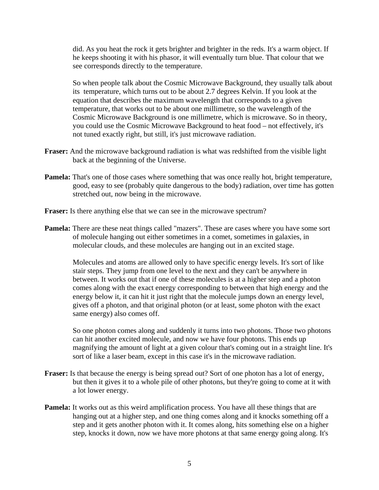did. As you heat the rock it gets brighter and brighter in the reds. It's a warm object. If he keeps shooting it with his phasor, it will eventually turn blue. That colour that we see corresponds directly to the temperature.

 So when people talk about the Cosmic Microwave Background, they usually talk about its temperature, which turns out to be about 2.7 degrees Kelvin. If you look at the equation that describes the maximum wavelength that corresponds to a given temperature, that works out to be about one millimetre, so the wavelength of the Cosmic Microwave Background is one millimetre, which is microwave. So in theory, you could use the Cosmic Microwave Background to heat food – not effectively, it's not tuned exactly right, but still, it's just microwave radiation.

- **Fraser:** And the microwave background radiation is what was redshifted from the visible light back at the beginning of the Universe.
- **Pamela:** That's one of those cases where something that was once really hot, bright temperature, good, easy to see (probably quite dangerous to the body) radiation, over time has gotten stretched out, now being in the microwave.
- **Fraser:** Is there anything else that we can see in the microwave spectrum?
- **Pamela:** There are these neat things called "mazers". These are cases where you have some sort of molecule hanging out either sometimes in a comet, sometimes in galaxies, in molecular clouds, and these molecules are hanging out in an excited stage.

 Molecules and atoms are allowed only to have specific energy levels. It's sort of like stair steps. They jump from one level to the next and they can't be anywhere in between. It works out that if one of these molecules is at a higher step and a photon comes along with the exact energy corresponding to between that high energy and the energy below it, it can hit it just right that the molecule jumps down an energy level, gives off a photon, and that original photon (or at least, some photon with the exact same energy) also comes off.

 So one photon comes along and suddenly it turns into two photons. Those two photons can hit another excited molecule, and now we have four photons. This ends up magnifying the amount of light at a given colour that's coming out in a straight line. It's sort of like a laser beam, except in this case it's in the microwave radiation.

- **Fraser:** Is that because the energy is being spread out? Sort of one photon has a lot of energy, but then it gives it to a whole pile of other photons, but they're going to come at it with a lot lower energy.
- **Pamela:** It works out as this weird amplification process. You have all these things that are hanging out at a higher step, and one thing comes along and it knocks something off a step and it gets another photon with it. It comes along, hits something else on a higher step, knocks it down, now we have more photons at that same energy going along. It's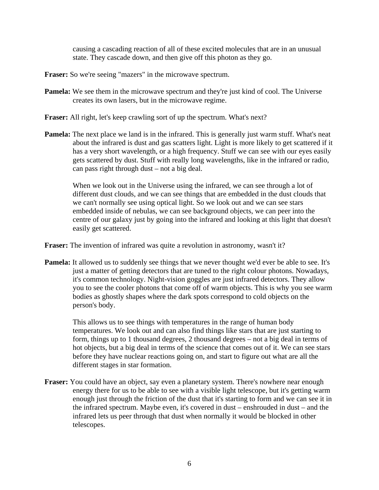causing a cascading reaction of all of these excited molecules that are in an unusual state. They cascade down, and then give off this photon as they go.

- **Fraser:** So we're seeing "mazers" in the microwave spectrum.
- **Pamela:** We see them in the microwave spectrum and they're just kind of cool. The Universe creates its own lasers, but in the microwave regime.
- **Fraser:** All right, let's keep crawling sort of up the spectrum. What's next?
- **Pamela:** The next place we land is in the infrared. This is generally just warm stuff. What's neat about the infrared is dust and gas scatters light. Light is more likely to get scattered if it has a very short wavelength, or a high frequency. Stuff we can see with our eyes easily gets scattered by dust. Stuff with really long wavelengths, like in the infrared or radio, can pass right through dust – not a big deal.

 When we look out in the Universe using the infrared, we can see through a lot of different dust clouds, and we can see things that are embedded in the dust clouds that we can't normally see using optical light. So we look out and we can see stars embedded inside of nebulas, we can see background objects, we can peer into the centre of our galaxy just by going into the infrared and looking at this light that doesn't easily get scattered.

**Fraser:** The invention of infrared was quite a revolution in astronomy, wasn't it?

**Pamela:** It allowed us to suddenly see things that we never thought we'd ever be able to see. It's just a matter of getting detectors that are tuned to the right colour photons. Nowadays, it's common technology. Night-vision goggles are just infrared detectors. They allow you to see the cooler photons that come off of warm objects. This is why you see warm bodies as ghostly shapes where the dark spots correspond to cold objects on the person's body.

 This allows us to see things with temperatures in the range of human body temperatures. We look out and can also find things like stars that are just starting to form, things up to 1 thousand degrees, 2 thousand degrees – not a big deal in terms of hot objects, but a big deal in terms of the science that comes out of it. We can see stars before they have nuclear reactions going on, and start to figure out what are all the different stages in star formation.

**Fraser:** You could have an object, say even a planetary system. There's nowhere near enough energy there for us to be able to see with a visible light telescope, but it's getting warm enough just through the friction of the dust that it's starting to form and we can see it in the infrared spectrum. Maybe even, it's covered in dust – enshrouded in dust – and the infrared lets us peer through that dust when normally it would be blocked in other telescopes.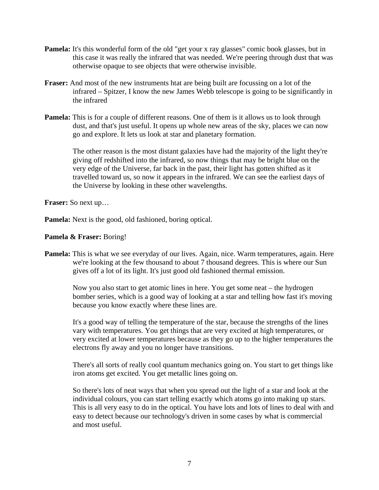- **Pamela:** It's this wonderful form of the old "get your x ray glasses" comic book glasses, but in this case it was really the infrared that was needed. We're peering through dust that was otherwise opaque to see objects that were otherwise invisible.
- **Fraser:** And most of the new instruments htat are being built are focussing on a lot of the infrared – Spitzer, I know the new James Webb telescope is going to be significantly in the infrared
- **Pamela:** This is for a couple of different reasons. One of them is it allows us to look through dust, and that's just useful. It opens up whole new areas of the sky, places we can now go and explore. It lets us look at star and planetary formation.

 The other reason is the most distant galaxies have had the majority of the light they're giving off redshifted into the infrared, so now things that may be bright blue on the very edge of the Universe, far back in the past, their light has gotten shifted as it travelled toward us, so now it appears in the infrared. We can see the earliest days of the Universe by looking in these other wavelengths.

**Fraser:** So next up…

**Pamela:** Next is the good, old fashioned, boring optical.

## **Pamela & Fraser:** Boring!

**Pamela:** This is what we see everyday of our lives. Again, nice. Warm temperatures, again. Here we're looking at the few thousand to about 7 thousand degrees. This is where our Sun gives off a lot of its light. It's just good old fashioned thermal emission.

 Now you also start to get atomic lines in here. You get some neat – the hydrogen bomber series, which is a good way of looking at a star and telling how fast it's moving because you know exactly where these lines are.

 It's a good way of telling the temperature of the star, because the strengths of the lines vary with temperatures. You get things that are very excited at high temperatures, or very excited at lower temperatures because as they go up to the higher temperatures the electrons fly away and you no longer have transitions.

 There's all sorts of really cool quantum mechanics going on. You start to get things like iron atoms get excited. You get metallic lines going on.

 So there's lots of neat ways that when you spread out the light of a star and look at the individual colours, you can start telling exactly which atoms go into making up stars. This is all very easy to do in the optical. You have lots and lots of lines to deal with and easy to detect because our technology's driven in some cases by what is commercial and most useful.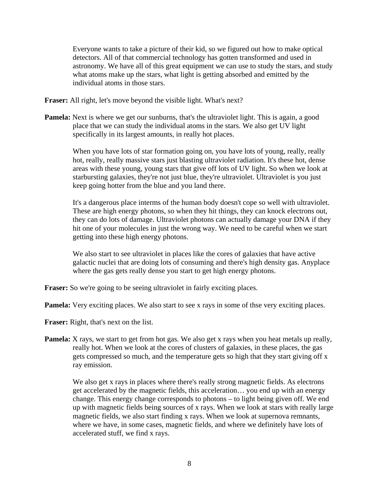Everyone wants to take a picture of their kid, so we figured out how to make optical detectors. All of that commercial technology has gotten transformed and used in astronomy. We have all of this great equipment we can use to study the stars, and study what atoms make up the stars, what light is getting absorbed and emitted by the individual atoms in those stars.

**Fraser:** All right, let's move beyond the visible light. What's next?

**Pamela:** Next is where we get our sunburns, that's the ultraviolet light. This is again, a good place that we can study the individual atoms in the stars. We also get UV light specifically in its largest amounts, in really hot places.

> When you have lots of star formation going on, you have lots of young, really, really hot, really, really massive stars just blasting ultraviolet radiation. It's these hot, dense areas with these young, young stars that give off lots of UV light. So when we look at starbursting galaxies, they're not just blue, they're ultraviolet. Ultraviolet is you just keep going hotter from the blue and you land there.

 It's a dangerous place interms of the human body doesn't cope so well with ultraviolet. These are high energy photons, so when they hit things, they can knock electrons out, they can do lots of damage. Ultraviolet photons can actually damage your DNA if they hit one of your molecules in just the wrong way. We need to be careful when we start getting into these high energy photons.

 We also start to see ultraviolet in places like the cores of galaxies that have active galactic nuclei that are doing lots of consuming and there's high density gas. Anyplace where the gas gets really dense you start to get high energy photons.

**Fraser:** So we're going to be seeing ultraviolet in fairly exciting places.

**Pamela:** Very exciting places. We also start to see x rays in some of thse very exciting places.

**Fraser:** Right, that's next on the list.

**Pamela:** X rays, we start to get from hot gas. We also get x rays when you heat metals up really, really hot. When we look at the cores of clusters of galaxies, in these places, the gas gets compressed so much, and the temperature gets so high that they start giving off x ray emission.

We also get x rays in places where there's really strong magnetic fields. As electrons get accelerated by the magnetic fields, this acceleration… you end up with an energy change. This energy change corresponds to photons – to light being given off. We end up with magnetic fields being sources of x rays. When we look at stars with really large magnetic fields, we also start finding x rays. When we look at supernova remnants, where we have, in some cases, magnetic fields, and where we definitely have lots of accelerated stuff, we find x rays.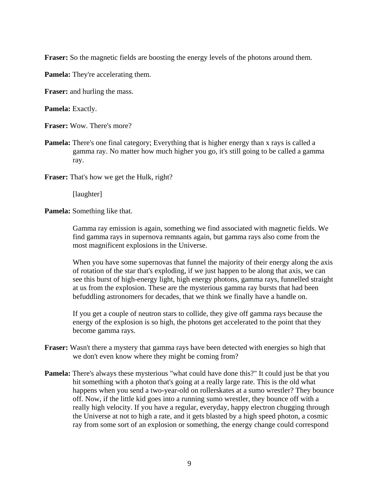**Fraser:** So the magnetic fields are boosting the energy levels of the photons around them.

**Pamela:** They're accelerating them.

**Fraser:** and hurling the mass.

**Pamela:** Exactly.

**Fraser:** Wow. There's more?

**Pamela:** There's one final category; Everything that is higher energy than x rays is called a gamma ray. No matter how much higher you go, it's still going to be called a gamma ray.

**Fraser:** That's how we get the Hulk, right?

[laughter]

**Pamela:** Something like that.

 Gamma ray emission is again, something we find associated with magnetic fields. We find gamma rays in supernova remnants again, but gamma rays also come from the most magnificent explosions in the Universe.

 When you have some supernovas that funnel the majority of their energy along the axis of rotation of the star that's exploding, if we just happen to be along that axis, we can see this burst of high-energy light, high energy photons, gamma rays, funnelled straight at us from the explosion. These are the mysterious gamma ray bursts that had been befuddling astronomers for decades, that we think we finally have a handle on.

 If you get a couple of neutron stars to collide, they give off gamma rays because the energy of the explosion is so high, the photons get accelerated to the point that they become gamma rays.

- **Fraser:** Wasn't there a mystery that gamma rays have been detected with energies so high that we don't even know where they might be coming from?
- **Pamela:** There's always these mysterious "what could have done this?" It could just be that you hit something with a photon that's going at a really large rate. This is the old what happens when you send a two-year-old on rollerskates at a sumo wrestler? They bounce off. Now, if the little kid goes into a running sumo wrestler, they bounce off with a really high velocity. If you have a regular, everyday, happy electron chugging through the Universe at not to high a rate, and it gets blasted by a high speed photon, a cosmic ray from some sort of an explosion or something, the energy change could correspond